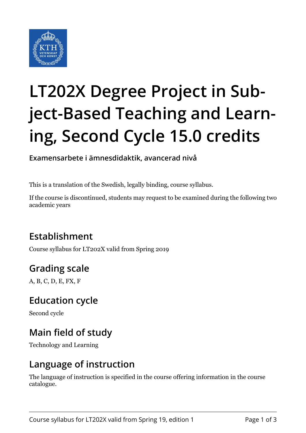

# **LT202X Degree Project in Subject-Based Teaching and Learning, Second Cycle 15.0 credits**

**Examensarbete i ämnesdidaktik, avancerad nivå**

This is a translation of the Swedish, legally binding, course syllabus.

If the course is discontinued, students may request to be examined during the following two academic years

# **Establishment**

Course syllabus for LT202X valid from Spring 2019

# **Grading scale**

A, B, C, D, E, FX, F

## **Education cycle**

Second cycle

# **Main field of study**

Technology and Learning

## **Language of instruction**

The language of instruction is specified in the course offering information in the course catalogue.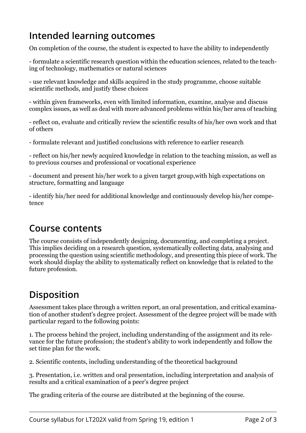## **Intended learning outcomes**

On completion of the course, the student is expected to have the ability to independently

- formulate a scientific research question within the education sciences, related to the teaching of technology, mathematics or natural sciences

- use relevant knowledge and skills acquired in the study programme, choose suitable scientific methods, and justify these choices

- within given frameworks, even with limited information, examine, analyse and discuss complex issues, as well as deal with more advanced problems within his/her area of teaching

- reflect on, evaluate and critically review the scientific results of his/her own work and that of others

- formulate relevant and justified conclusions with reference to earlier research

- reflect on his/her newly acquired knowledge in relation to the teaching mission, as well as to previous courses and professional or vocational experience

- document and present his/her work to a given target group,with high expectations on structure, formatting and language

- identify his/her need for additional knowledge and continuously develop his/her competence

#### **Course contents**

The course consists of independently designing, documenting, and completing a project. This implies deciding on a research question, systematically collecting data, analysing and processing the question using scientific methodology, and presenting this piece of work. The work should display the ability to systematically reflect on knowledge that is related to the future profession.

## **Disposition**

Assessment takes place through a written report, an oral presentation, and critical examination of another student's degree project. Assessment of the degree project will be made with particular regard to the following points:

1. The process behind the project, including understanding of the assignment and its relevance for the future profession; the student's ability to work independently and follow the set time plan for the work.

2. Scientific contents, including understanding of the theoretical background

3. Presentation, i.e. written and oral presentation, including interpretation and analysis of results and a critical examination of a peer's degree project

The grading criteria of the course are distributed at the beginning of the course.